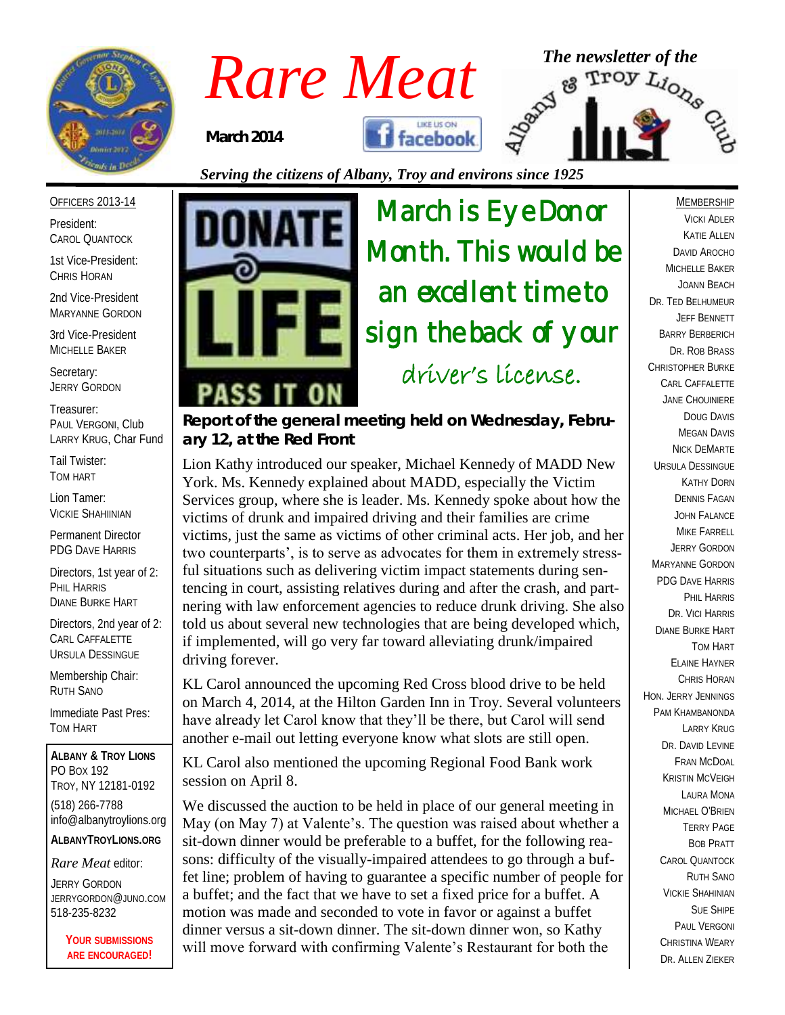

*March 2014* 





#### OFFICERS 2013-14

President: CAROL QUANTOCK

1st Vice-President: CHRIS HORAN

2nd Vice-President MARYANNE GORDON

3rd Vice-President MICHELLE BAKER

Secretary: JERRY GORDON

Treasurer: PAUL VERGONI, Club LARRY KRUG, Char Fund

Tail Twister: TOM HART

Lion Tamer: VICKIE SHAHIINIAN

Permanent Director PDG DAVE HARRIS

Directors, 1st year of 2: PHIL HARRIS DIANE BURKE HART

Directors, 2nd year of 2: CARL CAFFALETTE URSULA DESSINGUE

Membership Chair: RUTH SANO

Immediate Past Pres: TOM HART

**ALBANY & TROY LIONS** PO BOX 192 TROY, NY 12181-0192 (518) 266-7788 info@albanytroylions.org **ALBANYTROYLIONS.ORG**

*Rare Meat* editor:

JERRY GORDON JERRYGORDON@JUNO.COM 518-235-8232

> **YOUR SUBMISSIONS ARE ENCOURAGED!**



March is Eye Donor Month. This would be an excellent time to sign the back of your driver's license.

*Report of the general meeting held on Wednesday, February 12, at the Red Front* 

Lion Kathy introduced our speaker, Michael Kennedy of MADD New York. Ms. Kennedy explained about MADD, especially the Victim Services group, where she is leader. Ms. Kennedy spoke about how the victims of drunk and impaired driving and their families are crime victims, just the same as victims of other criminal acts. Her job, and her two counterparts', is to serve as advocates for them in extremely stressful situations such as delivering victim impact statements during sentencing in court, assisting relatives during and after the crash, and partnering with law enforcement agencies to reduce drunk driving. She also told us about several new technologies that are being developed which, if implemented, will go very far toward alleviating drunk/impaired driving forever.

KL Carol announced the upcoming Red Cross blood drive to be held on March 4, 2014, at the Hilton Garden Inn in Troy. Several volunteers have already let Carol know that they'll be there, but Carol will send another e-mail out letting everyone know what slots are still open.

KL Carol also mentioned the upcoming Regional Food Bank work session on April 8.

We discussed the auction to be held in place of our general meeting in May (on May 7) at Valente's. The question was raised about whether a sit-down dinner would be preferable to a buffet, for the following reasons: difficulty of the visually-impaired attendees to go through a buffet line; problem of having to guarantee a specific number of people for a buffet; and the fact that we have to set a fixed price for a buffet. A motion was made and seconded to vote in favor or against a buffet dinner versus a sit-down dinner. The sit-down dinner won, so Kathy will move forward with confirming Valente's Restaurant for both the

#### MEMBERSHIP VICKI ADLER KATIE ALLEN DAVID AROCHO MICHELLE BAKER JOANN BEACH DR. TED BELHUMEUR JEFF BENNETT BARRY BERBERICH DR. ROB BRASS CHRISTOPHER BURKE CARL CAFFALETTE JANE CHOUINIERE DOUG DAVIS MEGAN DAVIS NICK DEMARTE URSULA DESSINGUE KATHY DORN DENNIS FAGAN JOHN FALANCE MIKE FARRELL JERRY GORDON MARYANNE GORDON PDG DAVE HARRIS PHIL HARRIS DR. VICI HARRIS DIANE BURKE HART TOM HART ELAINE HAYNER CHRIS HORAN HON. JERRY JENNINGS PAM KHAMBANONDA LARRY KRUG DR. DAVID I FVINE FRAN MCDOAL KRISTIN MCVEIGH LAURA MONA MICHAEL O'BRIEN TERRY PAGE BOB PRATT CAROL QUANTOCK RUTH SANO VICKIE SHAHINIAN SUE SHIPE PAUL VERGONI CHRISTINA WEARY DR. ALLEN ZIEKER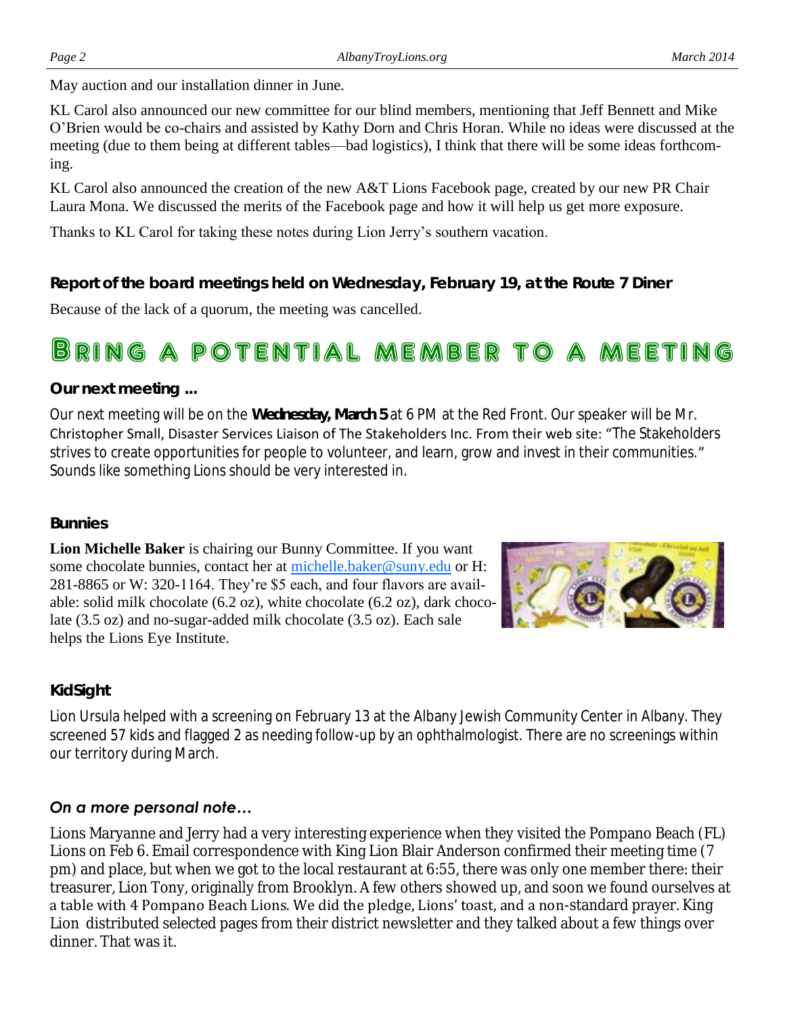May auction and our installation dinner in June.

KL Carol also announced our new committee for our blind members, mentioning that Jeff Bennett and Mike O'Brien would be co-chairs and assisted by Kathy Dorn and Chris Horan. While no ideas were discussed at the meeting (due to them being at different tables—bad logistics), I think that there will be some ideas forthcoming.

KL Carol also announced the creation of the new A&T Lions Facebook page, created by our new PR Chair Laura Mona. We discussed the merits of the Facebook page and how it will help us get more exposure.

Thanks to KL Carol for taking these notes during Lion Jerry's southern vacation.

*Report of the board meetings held on Wednesday, February 19, at the Route 7 Diner* 

Because of the lack of a quorum, the meeting was cancelled.

# BRING A POTENTIAL MEMBER TO A MEETING

### *Our next meeting ...*

Our next meeting will be on the **Wednesday, March 5** at 6 PM at the Red Front. Our speaker will be Mr. Christopher Small, Disaster Services Liaison of The Stakeholders Inc. From their web site: "The Stakeholders strives to create opportunities for people to volunteer, and learn, grow and invest in their communities." Sounds like something Lions should be very interested in.

#### *Bunnies*

**Lion Michelle Baker** is chairing our Bunny Committee. If you want some chocolate bunnies, contact her at [michelle.baker@suny.edu](mailto:michelle.baker@suny.edu) or H: 281-8865 or W: 320-1164. They're \$5 each, and four flavors are available: solid milk chocolate (6.2 oz), white chocolate (6.2 oz), dark chocolate (3.5 oz) and no-sugar-added milk chocolate (3.5 oz). Each sale helps the Lions Eye Institute.



### *KidSight*

Lion Ursula helped with a screening on February 13 at the Albany Jewish Community Center in Albany. They screened 57 kids and flagged 2 as needing follow-up by an ophthalmologist. There are no screenings within our territory during March.

### *On a more personal note…*

Lions Maryanne and Jerry had a very interesting experience when they visited the Pompano Beach (FL) Lions on Feb 6. Email correspondence with King Lion Blair Anderson confirmed their meeting time (7 pm) and place, but when we got to the local restaurant at 6:55, there was only one member there: their treasurer, Lion Tony, originally from Brooklyn. A few others showed up, and soon we found ourselves at a table with 4 Pompano Beach Lions. We did the pledge, Lions' toast, and a non-standard prayer. King Lion distributed selected pages from their district newsletter and they talked about a few things over dinner. That was it.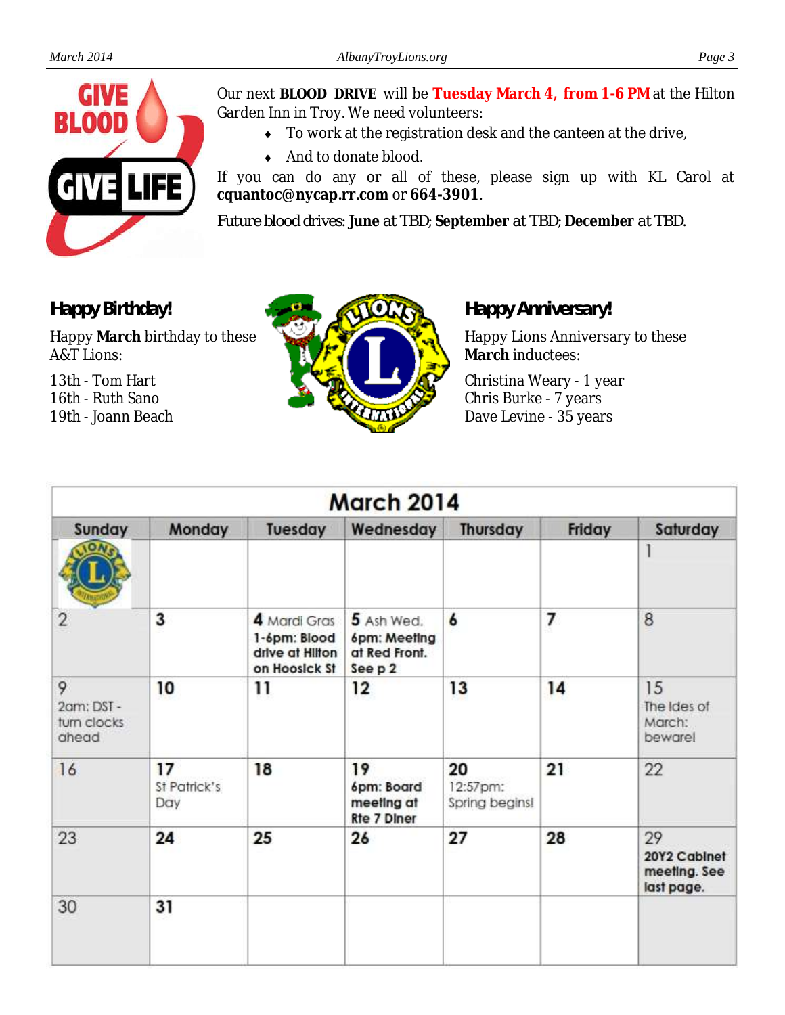

Our next **BLOOD DRIVE** will be **Tuesday March 4, from 1-6 PM** at the Hilton Garden Inn in Troy. We need volunteers:

- To work at the registration desk and the canteen at the drive,
- ◆ And to donate blood.

If you can do any or all of these, please sign up with KL Carol at **cquantoc@nycap.rr.com** or **664-3901**.

*Future blood drives: June at TBD; September at TBD; December at TBD.*

## *Happy Birthday!*

Happy **March** birthday to these A&T Lions:

13th - Tom Hart

16th - Ruth Sano

19th - Joann Beach



*Happy Anniversary!*

Happy Lions Anniversary to these **March** inductees:

Christina Weary - 1 year Chris Burke - 7 years Dave Levine - 35 years

| <b>March 2014</b>                       |                           |                                                                  |                                                        |                                  |        |                                                  |
|-----------------------------------------|---------------------------|------------------------------------------------------------------|--------------------------------------------------------|----------------------------------|--------|--------------------------------------------------|
| Sunday                                  | Monday                    | Tuesday                                                          | Wednesday                                              | <b>Thursday</b>                  | Friday | Saturday                                         |
| $\overline{2}$                          | 3                         | 4 Mardi Gras<br>1-6pm: Blood<br>drive at Hilton<br>on Hoosick St | 5 Ash Wed.<br>6pm: Meeting<br>at Red Front.<br>See p 2 | $\boldsymbol{6}$                 | 7      | 8                                                |
| 9<br>2am: DST -<br>turn clocks<br>ahead | 10                        | 11                                                               | 12                                                     | 13                               | 14     | 15<br>The Ides of<br>March:<br>bewarel           |
| 16                                      | 17<br>St Patrick's<br>Day | 18                                                               | 19<br>6pm: Board<br>meeting at<br><b>Rte 7 Diner</b>   | 20<br>12:57pm:<br>Spring begins! | 21     | 22                                               |
| 23                                      | 24                        | 25                                                               | 26                                                     | 27                               | 28     | 29<br>20Y2 Cabinet<br>meeting. See<br>last page. |
| 30                                      | 31                        |                                                                  |                                                        |                                  |        |                                                  |